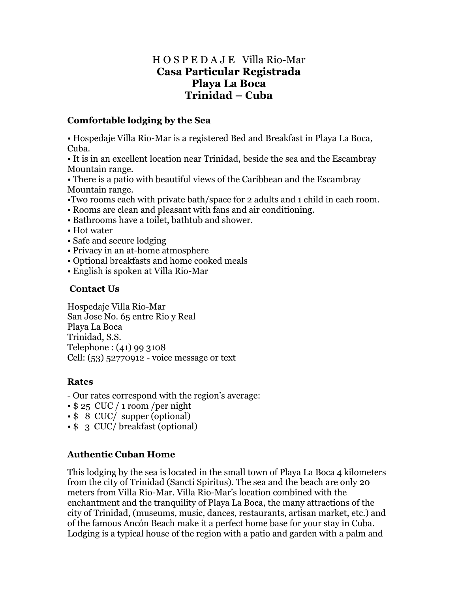## H O S P E D A J E Villa Rio-Mar **Casa Particular Registrada Playa La Boca Trinidad – Cuba**

### **Comfortable lodging by the Sea**

• Hospedaje Villa Rio-Mar is a registered Bed and Breakfast in Playa La Boca, Cuba.

• It is in an excellent location near Trinidad, beside the sea and the Escambray Mountain range.

• There is a patio with beautiful views of the Caribbean and the Escambray Mountain range.

- •Two rooms each with private bath/space for 2 adults and 1 child in each room.
- Rooms are clean and pleasant with fans and air conditioning.
- Bathrooms have a toilet, bathtub and shower.
- Hot water
- Safe and secure lodging
- Privacy in an at-home atmosphere
- Optional breakfasts and home cooked meals
- English is spoken at Villa Rio-Mar

### **Contact Us**

Hospedaje Villa Rio-Mar San Jose No. 65 entre Rio y Real Playa La Boca Trinidad, S.S. Telephone : (41) 99 3108 Cell: (53) 52770912 - voice message or text

### **Rates**

- Our rates correspond with the region's average:
- \$ 25 CUC / 1 room /per night
- \$ 8 CUC/ supper (optional)
- \$ 3 CUC/ breakfast (optional)

### **Authentic Cuban Home**

This lodging by the sea is located in the small town of Playa La Boca 4 kilometers from the city of Trinidad (Sancti Spiritus). The sea and the beach are only 20 meters from Villa Rio-Mar. Villa Rio-Mar"s location combined with the enchantment and the tranquility of Playa La Boca, the many attractions of the city of Trinidad, (museums, music, dances, restaurants, artisan market, etc.) and of the famous Ancón Beach make it a perfect home base for your stay in Cuba. Lodging is a typical house of the region with a patio and garden with a palm and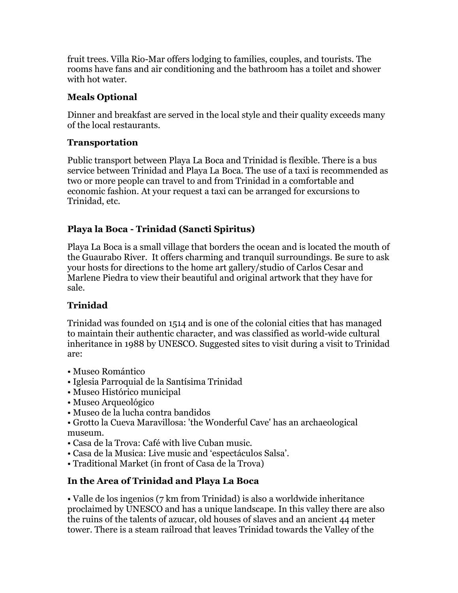fruit trees. Villa Rio-Mar offers lodging to families, couples, and tourists. The rooms have fans and air conditioning and the bathroom has a toilet and shower with hot water.

### **Meals Optional**

Dinner and breakfast are served in the local style and their quality exceeds many of the local restaurants.

## **Transportation**

Public transport between Playa La Boca and Trinidad is flexible. There is a bus service between Trinidad and Playa La Boca. The use of a taxi is recommended as two or more people can travel to and from Trinidad in a comfortable and economic fashion. At your request a taxi can be arranged for excursions to Trinidad, etc.

# **Playa la Boca - Trinidad (Sancti Spiritus)**

Playa La Boca is a small village that borders the ocean and is located the mouth of the Guaurabo River. It offers charming and tranquil surroundings. Be sure to ask your hosts for directions to the home art gallery/studio of Carlos Cesar and Marlene Piedra to view their beautiful and original artwork that they have for sale.

# **Trinidad**

Trinidad was founded on 1514 and is one of the colonial cities that has managed to maintain their authentic character, and was classified as world-wide cultural inheritance in 1988 by UNESCO. Suggested sites to visit during a visit to Trinidad are:

- Museo Romántico
- Iglesia Parroquial de la Santísima Trinidad
- Museo Histórico municipal
- Museo Arqueológico
- Museo de la lucha contra bandidos
- Grotto la Cueva Maravillosa: 'the Wonderful Cave' has an archaeological museum.
- Casa de la Trova: Café with live Cuban music.
- Casa de la Musica: Live music and "espectáculos Salsa".
- Traditional Market (in front of Casa de la Trova)

# **In the Area of Trinidad and Playa La Boca**

• Valle de los ingenios (7 km from Trinidad) is also a worldwide inheritance proclaimed by UNESCO and has a unique landscape. In this valley there are also the ruins of the talents of azucar, old houses of slaves and an ancient 44 meter tower. There is a steam railroad that leaves Trinidad towards the Valley of the